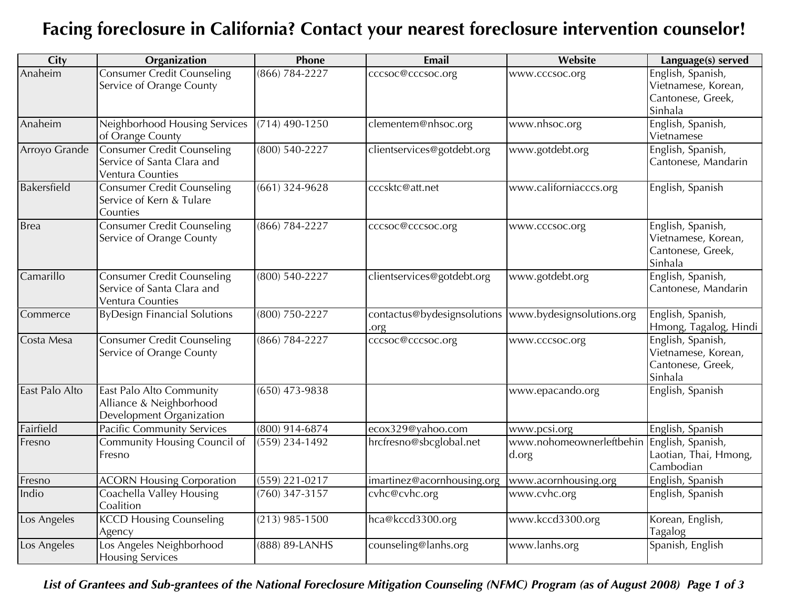## **Facing foreclosure in California? Contact your nearest foreclosure intervention counselor!**

| City           | Organization                                                                        | Phone              | Email                               | <b>Website</b>                                      | Language(s) served                                                       |
|----------------|-------------------------------------------------------------------------------------|--------------------|-------------------------------------|-----------------------------------------------------|--------------------------------------------------------------------------|
| Anaheim        | <b>Consumer Credit Counseling</b><br>Service of Orange County                       | (866) 784-2227     | cccsoc@cccsoc.org                   | www.cccsoc.org                                      | English, Spanish,<br>Vietnamese, Korean,<br>Cantonese, Greek,<br>Sinhala |
| Anaheim        | Neighborhood Housing Services<br>of Orange County                                   | $(714)$ 490-1250   | clementem@nhsoc.org                 | www.nhsoc.org                                       | English, Spanish,<br>Vietnamese                                          |
| Arroyo Grande  | <b>Consumer Credit Counseling</b><br>Service of Santa Clara and<br>Ventura Counties | $(800)$ 540-2227   | clientservices@gotdebt.org          | www.gotdebt.org                                     | English, Spanish,<br>Cantonese, Mandarin                                 |
| Bakersfield    | Consumer Credit Counseling<br>Service of Kern & Tulare<br>Counties                  | $(661)$ 324-9628   | cccsktc@att.net                     | www.californiacccs.org                              | English, Spanish                                                         |
| <b>Brea</b>    | <b>Consumer Credit Counseling</b><br>Service of Orange County                       | $(866) 784 - 2227$ | cccsoc@cccsoc.org                   | www.cccsoc.org                                      | English, Spanish,<br>Vietnamese, Korean,<br>Cantonese, Greek,<br>Sinhala |
| Camarillo      | <b>Consumer Credit Counseling</b><br>Service of Santa Clara and<br>Ventura Counties | $(800)$ 540-2227   | clientservices@gotdebt.org          | www.gotdebt.org                                     | English, Spanish,<br>Cantonese, Mandarin                                 |
| Commerce       | <b>ByDesign Financial Solutions</b>                                                 | (800) 750-2227     | contactus@bydesignsolutions<br>.org | www.bydesignsolutions.org                           | English, Spanish,<br>Hmong, Tagalog, Hindi                               |
| Costa Mesa     | <b>Consumer Credit Counseling</b><br>Service of Orange County                       | $(866) 784 - 2227$ | cccsoc@cccsoc.org                   | www.cccsoc.org                                      | English, Spanish,<br>Vietnamese, Korean,<br>Cantonese, Greek,<br>Sinhala |
| East Palo Alto | East Palo Alto Community<br>Alliance & Neighborhood<br>Development Organization     | $(650)$ 473-9838   |                                     | www.epacando.org                                    | English, Spanish                                                         |
| Fairfield      | <b>Pacific Community Services</b>                                                   | (800) 914-6874     | ecox329@yahoo.com                   | www.pcsi.org                                        | English, Spanish                                                         |
| Fresno         | Community Housing Council of<br>Fresno                                              | $(559)$ 234-1492   | hrcfresno@sbcglobal.net             | www.nohomeownerleftbehin English, Spanish,<br>d.org | Laotian, Thai, Hmong,<br>Cambodian                                       |
| Fresno         | <b>ACORN Housing Corporation</b>                                                    | $(559)$ 221-0217   | imartinez@acornhousing.org          | www.acornhousing.org                                | English, Spanish                                                         |
| Indio          | Coachella Valley Housing<br>Coalition                                               | $(760)$ 347-3157   | cvhc@cvhc.org                       | www.cvhc.org                                        | English, Spanish                                                         |
| Los Angeles    | <b>KCCD Housing Counseling</b><br>Agency                                            | $(213)$ 985-1500   | hca@kccd3300.org                    | www.kccd3300.org                                    | Korean, English,<br>Tagalog                                              |
| Los Angeles    | Los Angeles Neighborhood<br><b>Housing Services</b>                                 | (888) 89-LANHS     | counseling@lanhs.org                | www.lanhs.org                                       | Spanish, English                                                         |

## *List of Grantees and Sub-grantees of the National Foreclosure Mitigation Counseling (NFMC) Program (as of August 2008) Page 1 of 3*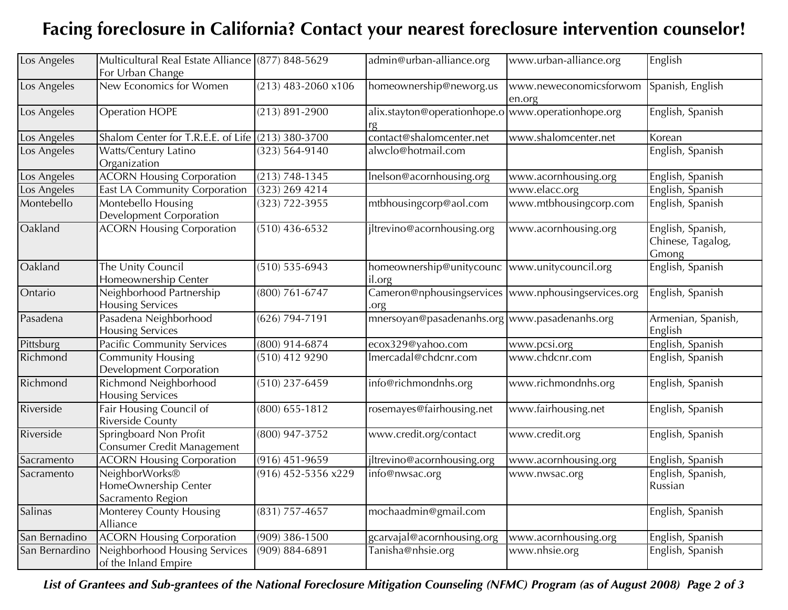## **Facing foreclosure in California? Contact your nearest foreclosure intervention counselor!**

| Los Angeles    | Multicultural Real Estate Alliance (877) 848-5629            |                       | admin@urban-alliance.org                                     | www.urban-alliance.org           | English                                         |
|----------------|--------------------------------------------------------------|-----------------------|--------------------------------------------------------------|----------------------------------|-------------------------------------------------|
|                | For Urban Change                                             |                       |                                                              |                                  |                                                 |
| Los Angeles    | New Economics for Women                                      | $(213)$ 483-2060 x106 | homeownership@neworg.us                                      | www.neweconomicsforwom<br>en.org | Spanish, English                                |
| Los Angeles    | <b>Operation HOPE</b>                                        | $(213) 891 - 2900$    | alix.stayton@operationhope.o www.operationhope.org<br>rg     |                                  | English, Spanish                                |
| Los Angeles    | Shalom Center for T.R.E.E. of Life $(213)$ 380-3700          |                       | contact@shalomcenter.net                                     | www.shalomcenter.net             | Korean                                          |
| Los Angeles    | Watts/Century Latino<br>Organization                         | $(323) 564 - 9140$    | alwclo@hotmail.com                                           |                                  | English, Spanish                                |
| Los Angeles    | <b>ACORN Housing Corporation</b>                             | $(213) 748 - 1345$    | Inelson@acornhousing.org                                     | www.acornhousing.org             | English, Spanish                                |
| Los Angeles    | East LA Community Corporation                                | $(323)$ 269 4214      |                                                              | www.elacc.org                    | English, Spanish                                |
| Montebello     | Montebello Housing<br><b>Development Corporation</b>         | $(323) 722 - 3955$    | mtbhousingcorp@aol.com                                       | www.mtbhousingcorp.com           | English, Spanish                                |
| Oakland        | <b>ACORN Housing Corporation</b>                             | $(510)$ 436-6532      | jltrevino@acornhousing.org                                   | www.acornhousing.org             | English, Spanish,<br>Chinese, Tagalog,<br>Gmong |
| Oakland        | The Unity Council<br>Homeownership Center                    | $(510) 535 - 6943$    | homeownership@unitycounc  www.unitycouncil.org<br>il.org     |                                  | English, Spanish                                |
| Ontario        | Neighborhood Partnership<br><b>Housing Services</b>          | $(800) 761 - 6747$    | Cameron@nphousingservices  www.nphousingservices.org<br>.org |                                  | English, Spanish                                |
| Pasadena       | Pasadena Neighborhood<br><b>Housing Services</b>             | $(626) 794 - 7191$    | mnersoyan@pasadenanhs.org www.pasadenanhs.org                |                                  | Armenian, Spanish,<br>English                   |
| Pittsburg      | <b>Pacific Community Services</b>                            | $(800)$ 914-6874      | ecox329@yahoo.com                                            | www.pcsi.org                     | English, Spanish                                |
| Richmond       | <b>Community Housing</b><br>Development Corporation          | $(510)$ 412 9290      | Imercadal@chdcnr.com                                         | www.chdcnr.com                   | English, Spanish                                |
| Richmond       | <b>Richmond Neighborhood</b><br><b>Housing Services</b>      | $(510)$ 237-6459      | info@richmondnhs.org                                         | www.richmondnhs.org              | English, Spanish                                |
| Riverside      | Fair Housing Council of<br><b>Riverside County</b>           | $(800)$ 655-1812      | rosemayes@fairhousing.net                                    | www.fairhousing.net              | English, Spanish                                |
| Riverside      | Springboard Non Profit<br>Consumer Credit Management         | (800) 947-3752        | www.credit.org/contact                                       | www.credit.org                   | English, Spanish                                |
| Sacramento     | <b>ACORN Housing Corporation</b>                             | $(916)$ 451-9659      | jltrevino@acornhousing.org                                   | www.acornhousing.org             | English, Spanish                                |
| Sacramento     | NeighborWorks®<br>HomeOwnership Center<br>Sacramento Region  | $(916)$ 452-5356 x229 | info@nwsac.org                                               | www.nwsac.org                    | English, Spanish,<br>Russian                    |
| <b>Salinas</b> | Monterey County Housing<br>Alliance                          | $(831)$ 757-4657      | mochaadmin@gmail.com                                         |                                  | English, Spanish                                |
| San Bernadino  | <b>ACORN Housing Corporation</b>                             | $(909)$ 386-1500      | gcarvajal@acornhousing.org                                   | www.acornhousing.org             | English, Spanish                                |
| San Bernardino | <b>Neighborhood Housing Services</b><br>of the Inland Empire | (909) 884-6891        | Tanisha@nhsie.org                                            | www.nhsie.org                    | English, Spanish                                |

*List of Grantees and Sub-grantees of the National Foreclosure Mitigation Counseling (NFMC) Program (as of August 2008) Page 2 of 3*